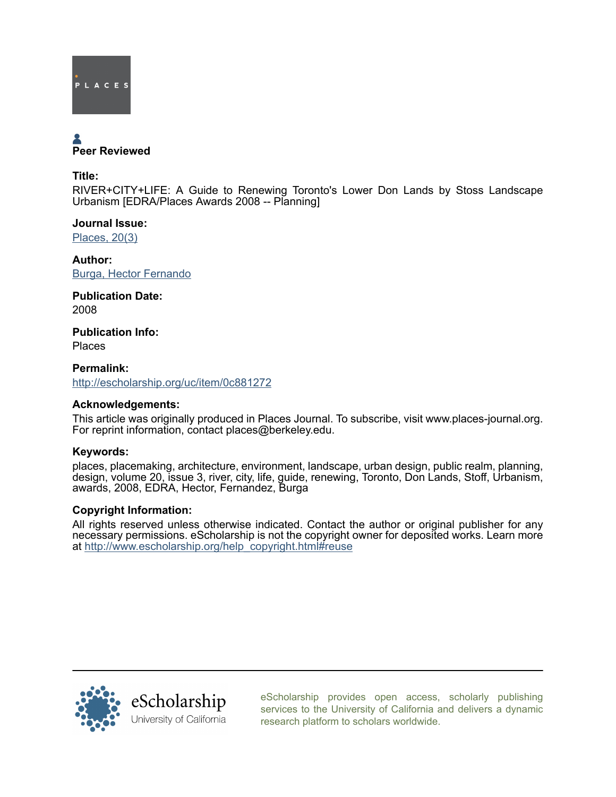

# Peer Reviewed

Title:

RIVER+CITY+LIFE: A Guide to Renewing Toronto's Lower Don Lands by Stoss Landscape Urbanism [EDRA/Places Awards 2008 -- Planning]

Journal Issue: [Places, 20\(3\)](http://escholarship.org/uc/ced_places?volume=20;issue=3)

Author: [Burga, Hector Fernando](http://escholarship.org/uc/search?creator=Burga%2C%20Hector%20Fernando)

Publication Date: 2008

Publication Info: Places

Permalink: <http://escholarship.org/uc/item/0c881272>

# Acknowledgements:

This article was originally produced in Places Journal. To subscribe, visit www.places-journal.org. For reprint information, contact places@berkeley.edu.

# Keywords:

places, placemaking, architecture, environment, landscape, urban design, public realm, planning, design, volume 20, issue 3, river, city, life, guide, renewing, Toronto, Don Lands, Stoff, Urbanism, awards, 2008, EDRA, Hector, Fernandez, Burga

# Copyright Information:

All rights reserved unless otherwise indicated. Contact the author or original publisher for any necessary permissions. eScholarship is not the copyright owner for deposited works. Learn more at [http://www.escholarship.org/help\\_copyright.html#reuse](http://www.escholarship.org/help_copyright.html#reuse)



[eScholarship provides open access, scholarly publishing](http://escholarship.org) [services to the University of California and delivers a dynamic](http://escholarship.org) [research platform to scholars worldwide.](http://escholarship.org)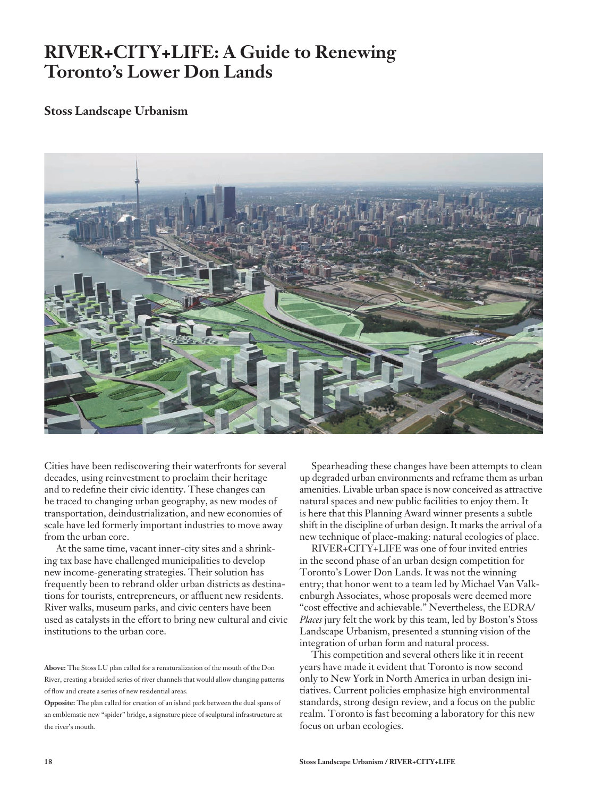# **RIVER+CITY+LIFE: A Guide to Renewing Toronto's Lower Don Lands**

# **Stoss Landscape Urbanism**



Cities have been rediscovering their waterfronts for several decades, using reinvestment to proclaim their heritage and to redefine their civic identity. These changes can be traced to changing urban geography, as new modes of transportation, deindustrialization, and new economies of scale have led formerly important industries to move away from the urban core.

At the same time, vacant inner-city sites and a shrinking tax base have challenged municipalities to develop new income-generating strategies. Their solution has frequently been to rebrand older urban districts as destinations for tourists, entrepreneurs, or affluent new residents. River walks, museum parks, and civic centers have been used as catalysts in the effort to bring new cultural and civic institutions to the urban core.

Spearheading these changes have been attempts to clean up degraded urban environments and reframe them as urban amenities. Livable urban space is now conceived as attractive natural spaces and new public facilities to enjoy them. It is here that this Planning Award winner presents a subtle shift in the discipline of urban design. It marks the arrival of a new technique of place-making: natural ecologies of place.

RIVER+CITY+LIFE was one of four invited entries in the second phase of an urban design competition for Toronto's Lower Don Lands. It was not the winning entry; that honor went to a team led by Michael Van Valkenburgh Associates, whose proposals were deemed more "cost effective and achievable." Nevertheless, the EDRA/ *Places* jury felt the work by this team, led by Boston's Stoss Landscape Urbanism, presented a stunning vision of the integration of urban form and natural process.

This competition and several others like it in recent years have made it evident that Toronto is now second only to New York in North America in urban design initiatives. Current policies emphasize high environmental standards, strong design review, and a focus on the public realm. Toronto is fast becoming a laboratory for this new focus on urban ecologies.

**Above:** The Stoss LU plan called for a renaturalization of the mouth of the Don River, creating a braided series of river channels that would allow changing patterns of flow and create a series of new residential areas.

**Opposite:** The plan called for creation of an island park between the dual spans of an emblematic new "spider" bridge, a signature piece of sculptural infrastructure at the river's mouth.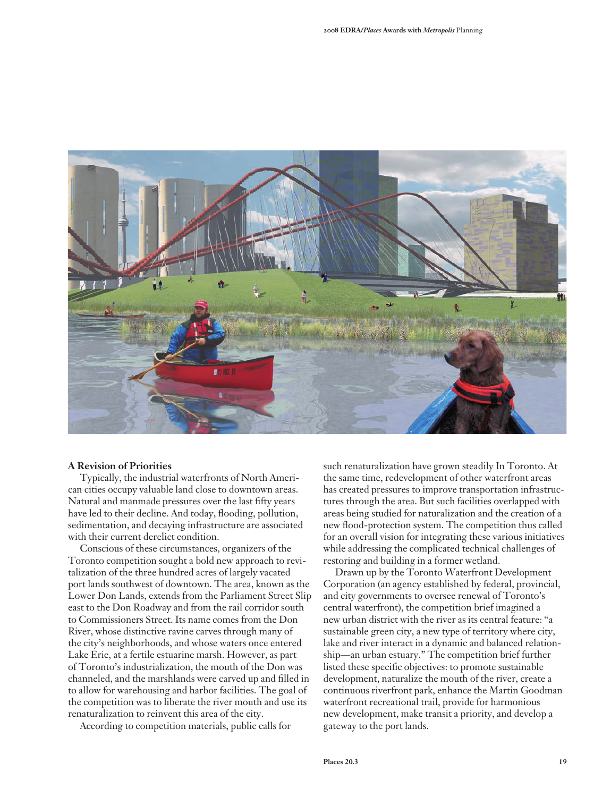

#### **A Revision of Priorities**

Typically, the industrial waterfronts of North American cities occupy valuable land close to downtown areas. Natural and manmade pressures over the last fifty years have led to their decline. And today, flooding, pollution, sedimentation, and decaying infrastructure are associated with their current derelict condition.

Conscious of these circumstances, organizers of the Toronto competition sought a bold new approach to revitalization of the three hundred acres of largely vacated port lands southwest of downtown. The area, known as the Lower Don Lands, extends from the Parliament Street Slip east to the Don Roadway and from the rail corridor south to Commissioners Street. Its name comes from the Don River, whose distinctive ravine carves through many of the city's neighborhoods, and whose waters once entered Lake Erie, at a fertile estuarine marsh. However, as part of Toronto's industrialization, the mouth of the Don was channeled, and the marshlands were carved up and filled in to allow for warehousing and harbor facilities. The goal of the competition was to liberate the river mouth and use its renaturalization to reinvent this area of the city.

According to competition materials, public calls for

such renaturalization have grown steadily In Toronto. At the same time, redevelopment of other waterfront areas has created pressures to improve transportation infrastructures through the area. But such facilities overlapped with areas being studied for naturalization and the creation of a new flood-protection system. The competition thus called for an overall vision for integrating these various initiatives while addressing the complicated technical challenges of restoring and building in a former wetland.

Drawn up by the Toronto Waterfront Development Corporation (an agency established by federal, provincial, and city governments to oversee renewal of Toronto's central waterfront), the competition brief imagined a new urban district with the river as its central feature: "a sustainable green city, a new type of territory where city, lake and river interact in a dynamic and balanced relationship—an urban estuary." The competition brief further listed these specific objectives: to promote sustainable development, naturalize the mouth of the river, create a continuous riverfront park, enhance the Martin Goodman waterfront recreational trail, provide for harmonious new development, make transit a priority, and develop a gateway to the port lands.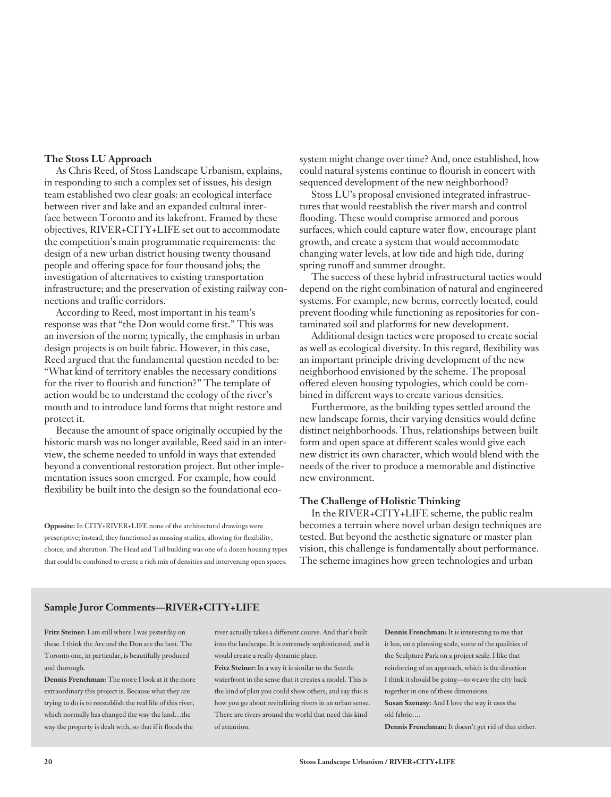#### **The Stoss LU Approach**

As Chris Reed, of Stoss Landscape Urbanism, explains, in responding to such a complex set of issues, his design team established two clear goals: an ecological interface between river and lake and an expanded cultural interface between Toronto and its lakefront. Framed by these objectives, RIVER+CITY+LIFE set out to accommodate the competition's main programmatic requirements: the design of a new urban district housing twenty thousand people and offering space for four thousand jobs; the investigation of alternatives to existing transportation infrastructure; and the preservation of existing railway connections and traffic corridors.

According to Reed, most important in his team's response was that "the Don would come first." This was an inversion of the norm; typically, the emphasis in urban design projects is on built fabric. However, in this case, Reed argued that the fundamental question needed to be: "What kind of territory enables the necessary conditions for the river to flourish and function?" The template of action would be to understand the ecology of the river's mouth and to introduce land forms that might restore and protect it.

Because the amount of space originally occupied by the historic marsh was no longer available, Reed said in an interview, the scheme needed to unfold in ways that extended beyond a conventional restoration project. But other implementation issues soon emerged. For example, how could flexibility be built into the design so the foundational eco-

**Opposite:** In CITY+RIVER+LIFE none of the architectural drawings were prescriptive; instead, they functioned as massing studies, allowing for flexibility, choice, and alteration. The Head and Tail building was one of a dozen housing types that could be combined to create a rich mix of densities and intervening open spaces. system might change over time? And, once established, how could natural systems continue to flourish in concert with sequenced development of the new neighborhood?

Stoss LU's proposal envisioned integrated infrastructures that would reestablish the river marsh and control flooding. These would comprise armored and porous surfaces, which could capture water flow, encourage plant growth, and create a system that would accommodate changing water levels, at low tide and high tide, during spring runoff and summer drought.

The success of these hybrid infrastructural tactics would depend on the right combination of natural and engineered systems. For example, new berms, correctly located, could prevent flooding while functioning as repositories for contaminated soil and platforms for new development.

Additional design tactics were proposed to create social as well as ecological diversity. In this regard, flexibility was an important principle driving development of the new neighborhood envisioned by the scheme. The proposal offered eleven housing typologies, which could be combined in different ways to create various densities.

Furthermore, as the building types settled around the new landscape forms, their varying densities would define distinct neighborhoods. Thus, relationships between built form and open space at different scales would give each new district its own character, which would blend with the needs of the river to produce a memorable and distinctive new environment.

#### **The Challenge of Holistic Thinking**

In the RIVER+CITY+LIFE scheme, the public realm becomes a terrain where novel urban design techniques are tested. But beyond the aesthetic signature or master plan vision, this challenge is fundamentally about performance. The scheme imagines how green technologies and urban

#### **Sample Juror Comments—RIVER+CITY+LIFE**

**Fritz Steiner:** I am still where I was yesterday on these. I think the Arc and the Don are the best. The Toronto one, in particular, is beautifully produced and thorough.

**Dennis Frenchman:** The more I look at it the more extraordinary this project is. Because what they are trying to do is to reestablish the real life of this river, which normally has changed the way the land…the way the property is dealt with, so that if it floods the

river actually takes a different course. And that's built into the landscape. It is extremely sophisticated, and it would create a really dynamic place.

**Fritz Steiner:** In a way it is similar to the Seattle waterfront in the sense that it creates a model. This is the kind of plan you could show others, and say this is how you go about revitalizing rivers in an urban sense. There are rivers around the world that need this kind of attention.

**Dennis Frenchman:** It is interesting to me that it has, on a planning scale, some of the qualities of the Sculpture Park on a project scale. I like that reinforcing of an approach, which is the direction I think it should be going—to weave the city back together in one of these dimensions.

**Susan Szenasy:** And I love the way it uses the old fabric….

**Dennis Frenchman:** It doesn't get rid of that either.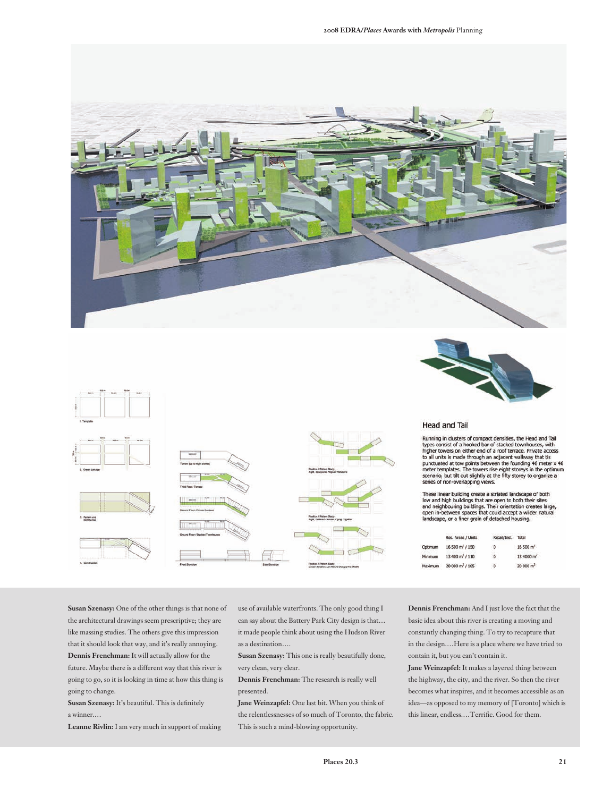



**Head and Tail** 

Running in clusters of compact densities, the Head and Tail<br>types consist of a hooked bar of stacked townhouses, with<br>higher towers on either end of a roof terrace. Private access<br>to all units is made through an adjacent w series of non-overlapping views.

These linear building create a striated landscape of both<br>low and high buildings that are open to both their sites<br>and neighbouring buildings. Their orientation creates large,<br>open in-between spaces that could accept a wil

|         | Res. Areas / Units          | Retail/Inst. | Total                 |
|---------|-----------------------------|--------------|-----------------------|
| Optimum | 16 500 m <sup>2</sup> / 150 | ۰            | 16 500 m <sup>2</sup> |
| Minimum | $13400 \text{ m}^2 / 110$   | $^{\circ}$   | $13,4000 \text{ m}^2$ |
| Maximum | 20 000 m <sup>2</sup> / 185 | $\circ$      | $20000 m^2$           |

**Susan Szenasy:** One of the other things is that none of the architectural drawings seem prescriptive; they are like massing studies. The others give this impression that it should look that way, and it's really annoying. **Dennis Frenchman:** It will actually allow for the future. Maybe there is a different way that this river is

going to go, so it is looking in time at how this thing is going to change.

**Susan Szenasy:** It's beautiful. This is definitely a winner.…

**Leanne Rivlin:** I am very much in support of making

use of available waterfronts. The only good thing I can say about the Battery Park City design is that… it made people think about using the Hudson River as a destination….

**Susan Szenasy:** This one is really beautifully done, very clean, very clear.

**Dennis Frenchman:** The research is really well presented.

**Jane Weinzapfel:** One last bit. When you think of the relentlessnesses of so much of Toronto, the fabric. This is such a mind-blowing opportunity.

**Dennis Frenchman:** And I just love the fact that the basic idea about this river is creating a moving and constantly changing thing. To try to recapture that in the design.…Here is a place where we have tried to contain it, but you can't contain it.

**Jane Weinzapfel:** It makes a layered thing between the highway, the city, and the river. So then the river becomes what inspires, and it becomes accessible as an idea—as opposed to my memory of [Toronto] which is this linear, endless.…Terrific. Good for them.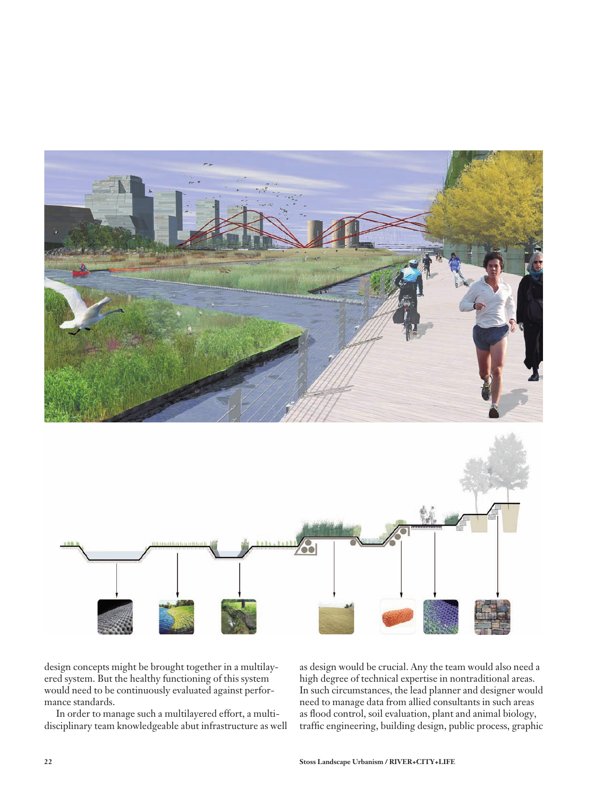

design concepts might be brought together in a multilayered system. But the healthy functioning of this system would need to be continuously evaluated against performance standards.

In order to manage such a multilayered effort, a multidisciplinary team knowledgeable abut infrastructure as well as design would be crucial. Any the team would also need a high degree of technical expertise in nontraditional areas. In such circumstances, the lead planner and designer would need to manage data from allied consultants in such areas as flood control, soil evaluation, plant and animal biology, traffic engineering, building design, public process, graphic